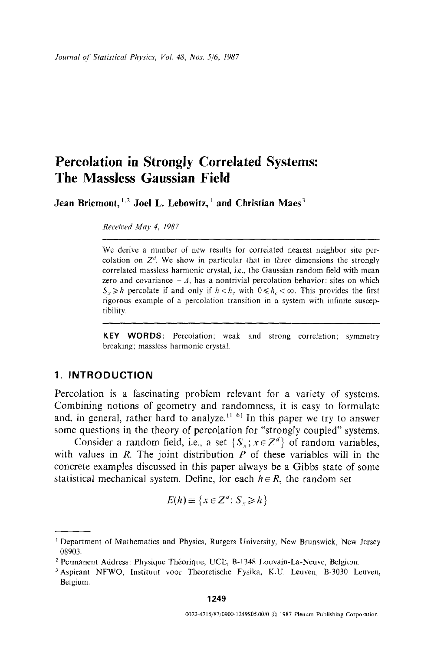# **Percolation in Strongly Correlated Systems: The Massless Gaussian Field**

Jean Briemont, <sup>1,2</sup> Joel L. Lebowitz, <sup>1</sup> and Christian Maes<sup>3</sup>

*Received May 4, 1987* 

We derive a number of new results for correlated nearest neighbor site percolation on  $Z<sup>d</sup>$ . We show in particular that in three dimensions the strongly correlated massless harmonic crystal, i.e., the Gaussian random field with mean zero and covariance  $-\Delta$ , has a nontrivial percolation behavior: sites on which  $S_v \geq h$  percolate if and only if  $h < h_v$  with  $0 \leq h_v < \infty$ . This provides the first rigorous example of a percolation transition in a system with infinite susceptibility.

**KEY WORDS:** Percolation; weak and strong correlation; symmetry breaking; massless harmonic crystal.

## **1. INTRODUCTION**

Percolation is a fascinating problem relevant for a variety of systems. Combining notions of geometry and randomness, it is easy to formulate and, in general, rather hard to analyze.<sup> $(1\ 6)$ </sup> In this paper we try to answer some questions in the theory of percolation for "strongly coupled" systems.

Consider a random field, i.e., a set  $\{S_x; x \in \mathbb{Z}^d\}$  of random variables, with values in  $R$ . The joint distribution  $P$  of these variables will in the concrete examples discussed in this paper always be a Gibbs state of some statistical mechanical system. Define, for each  $h \in R$ , the random set

$$
E(h) \equiv \{x \in \mathbb{Z}^d : S_x \ge h\}
$$

Department of Mathematics and Physics, Rutgers University, New Brunswick, New Jersey 08903.

<sup>&</sup>lt;sup>2</sup> Permanent Address: Physique Théorique, UCL, B-1348 Louvain-La-Neuve, Belgium.

<sup>3</sup>Aspirant NFWO, Instituut voor Theoretische Fysika, K.U. Leuven, B-3030 Leuven, Belgium.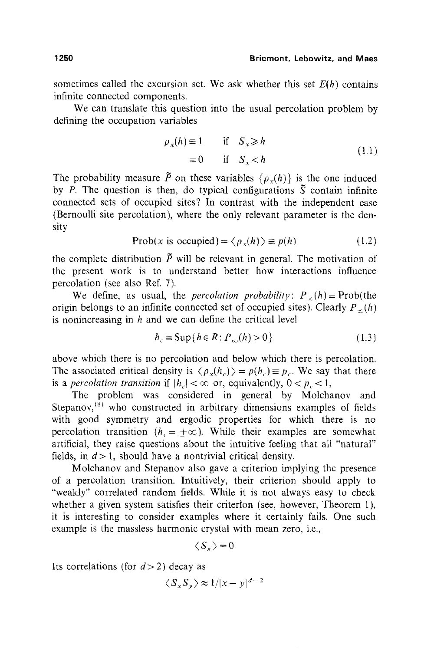sometimes called the excursion set. We ask whether this set  $E(h)$  contains infinite connected components.

We can translate this question into the usual percolation problem by defining the occupation variables

$$
\rho_x(h) \equiv 1 \quad \text{if} \quad S_x \ge h
$$
  

$$
\equiv 0 \quad \text{if} \quad S_x < h
$$
 (1.1)

The probability measure  $\tilde{P}$  on these variables  $\{ \rho_{x}(h) \}$  is the one induced by *P*. The question is then, do typical configurations  $\tilde{S}$  contain infinite connected sets of occupied sites? In contrast with the independent case (Bernoulli site percolation), where the only relevant parameter is the density

$$
Prob(x \text{ is occupied}) = \langle \rho_x(h) \rangle \equiv p(h) \tag{1.2}
$$

the complete distribution  $\tilde{P}$  will be relevant in general. The motivation of the present work is to understand better how interactions influence percolation (see also Ref. 7).

We define, as usual, the *percolation probability*:  $P_{\infty}(h) \equiv \text{Prob}(\text{the}$ origin belongs to an infinite connected set of occupied sites). Clearly  $P_{\gamma}(h)$ is nonincreasing in  $h$  and we can define the critical level

$$
h_c \equiv \text{Sup}\{h \in R \colon P_{\infty}(h) > 0\}
$$
\n(1.3)

above which there is no percolation and below which there is percolation. The associated critical density is  $\langle \rho_{r}(h_{c}) \rangle = p(h_{c}) \equiv p_{c}$ . We say that there is a *percolation transition* if  $|h_{c}| < \infty$  or, equivalently,  $0 < p_{c} < 1$ ,

The problem was considered in general by Molchanov and Stepanov,  $(8)$  who constructed in arbitrary dimensions examples of fields with good symmetry and ergodic properties for which there is no percolation transition ( $h<sub>c</sub> = \pm \infty$ ). While their examples are somewhat artificial, they raise questions about the intuitive feeling that all "natural" fields, in  $d > 1$ , should have a nontrivial critical density.

Molchanov and Stepanov also gave a criterion implying the presence of a percolation transition. Intuitively, their criterion should apply to "weakly" correlated random fields. While it is not always easy to check whether a given system satisfies their criterion (see, however, Theorem 1). it is interesting to consider examples where it certainly fails. One such example is the massless harmonic crystal with mean zero, i.e.,

$$
\langle S_x \rangle = 0
$$

Its correlations (for  $d > 2$ ) decay as

$$
\langle S_x S_y \rangle \approx 1/|x-y|^{d-2}
$$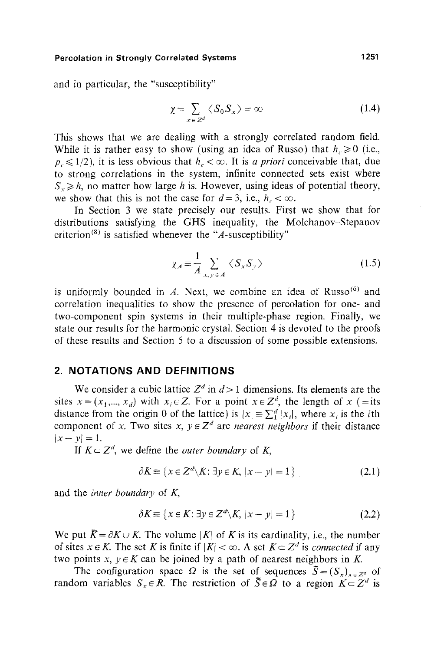and in particular, the "susceptibility"

$$
\chi = \sum_{x \in Z^d} \langle S_0 S_x \rangle = \infty \tag{1.4}
$$

This shows that we are dealing with a strongly correlated random field. While it is rather easy to show (using an idea of Russo) that  $h \ge 0$  (i.e.,  $p_e \leq 1/2$ ), it is less obvious that  $h_e < \infty$ . It is *a priori* conceivable that, due to strong correlations in the system, infinite connected sets exist where  $S_r \geq h$ , no matter how large h is. However, using ideas of potential theory, we show that this is not the case for  $d=3$ , i.e.,  $h_c < \infty$ .

In Section 3 we state precisely our results. First we show that for distributions satisfying the GHS inequality, the Molchanov-Stepanov criterion<sup>(8)</sup> is satisfied whenever the "A-susceptibility"

$$
\chi_A \equiv \frac{1}{A} \sum_{x, y \in A} \langle S_x S_y \rangle \tag{1.5}
$$

is uniformly bounded in  $A$ . Next, we combine an idea of Russo<sup>(6)</sup> and correlation inequalities to show the presence of percolation for one- and two-component spin systems in their multiple-phase region. Finally, we state our results for the harmonic crystal. Section 4 is devoted to the proofs of these results and Section 5 to a discussion of some possible extensions.

## **2. NOTATIONS AND DEFINITIONS**

We consider a cubic lattice  $Z^d$  in  $d > 1$  dimensions. Its elements are the sites  $x = (x_1, ..., x_d)$  with  $x_i \in Z$ . For a point  $x \in Z^d$ , the length of x (=its distance from the origin 0 of the lattice) is  $|x| = \sum_{i=1}^{d} |x_i|$ , where x<sub>i</sub> is the *i*th component of x. Two sites x,  $y \in Z^d$  are *nearest neighbors* if their distance  $|x-y|=1$ .

If  $K \subset Z^d$ , we define the *outer boundary* of K,

$$
\partial K \equiv \{ x \in \mathbb{Z}^d \setminus K : \exists y \in K, \, |x - y| = 1 \}
$$
 (2.1)

and the *inner boundary* of K,

$$
\delta K \equiv \{ x \in K : \exists y \in Z^d \setminus K, \, |x - y| = 1 \}
$$
 (2.2)

We put  $\bar{K} = \partial K \cup K$ . The volume |K| of K is its cardinality, i.e., the number of sites  $x \in K$ . The set K is finite if  $|K| < \infty$ . A set  $K \subset Z^d$  is *connected* if any two points  $x, y \in K$  can be joined by a path of nearest neighbors in K.

The configuration space  $\Omega$  is the set of sequences  $\tilde{S}=(S_x)_{x\in\mathbb{Z}^d}$  of random variables  $S_x \in R$ . The restriction of  $\overline{S} \in \Omega$  to a region  $K \subset Z^d$  is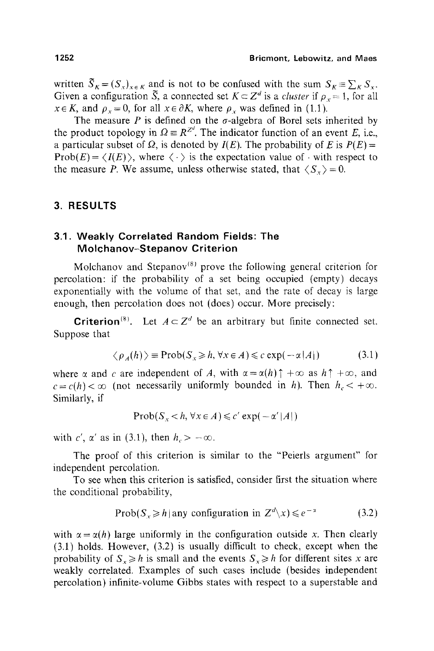written  $\tilde{S}_K = (S_x)_{x \in K}$  and is not to be confused with the sum  $S_K = \sum_K S_x$ . Given a configuration  $\tilde{S}$ , a connected set  $K \subset Z^d$  is a *cluster* if  $\rho_r = 1$ , for all  $x \in K$ , and  $\rho_x = 0$ , for all  $x \in \partial K$ , where  $\rho_x$  was defined in (1.1).

The measure P is defined on the  $\sigma$ -algebra of Borel sets inherited by the product topology in  $\Omega = R^{Zd}$ . The indicator function of an event E, i.e., a particular subset of  $\Omega$ , is denoted by  $I(E)$ . The probability of E is  $P(E)$  =  $Prob(E) = \langle I(E) \rangle$ , where  $\langle \cdot \rangle$  is the expectation value of  $\cdot$  with respect to the measure P. We assume, unless otherwise stated, that  $\langle S_z \rangle = 0$ .

# **3. RESULTS**

## **3.1. Weakly Correlated Random Fields: The Molchanov-Stepanov Criterion**

Molchanov and Stepanov<sup>(8)</sup> prove the following general criterion for percolation: if the probability of a set being occupied (empty) decays exponentially with the volume of that set, and the rate of decay is large enough, then percolation does not (does) occur. More precisely:

**Criterion**<sup>(8)</sup>. Let  $A \subset Z^d$  be an arbitrary but finite connected set. Suppose that

$$
\langle \rho_A(h) \rangle \equiv \text{Prob}(S_x \ge h, \forall x \in A) \le c \exp(-\alpha |A|)
$$
 (3.1)

where  $\alpha$  and c are independent of A, with  $\alpha = \alpha(h) \uparrow +\infty$  as  $h \uparrow +\infty$ , and  $c = c(h) < \infty$  (not necessarily uniformly bounded in *h*). Then  $h_c < +\infty$ . Similarly, if

$$
\text{Prob}(S_x < h, \forall x \in A) \leq c' \exp(-\alpha' |A|)
$$

with c',  $\alpha'$  as in (3.1), then  $h_c > -\infty$ .

The proof of this criterion is similar to the "Peierls argument" for independent percolation.

To see when this criterion is satisfied, consider first the situation where the conditional probability,

$$
Prob(S_x \ge h | \text{any configuration in } Z^d \setminus x) \le e^{-x}
$$
 (3.2)

with  $\alpha = \alpha(h)$  large uniformly in the configuration outside x. Then clearly (3.1) holds. However, (3.2) is usually difficult to check, except when the probability of  $S_x \geq h$  is small and the events  $S_x \geq h$  for different sites x are weakly correlated. Examples of such cases include (besides independent percolation) infinite-volume Gibbs states with respect to a superstable and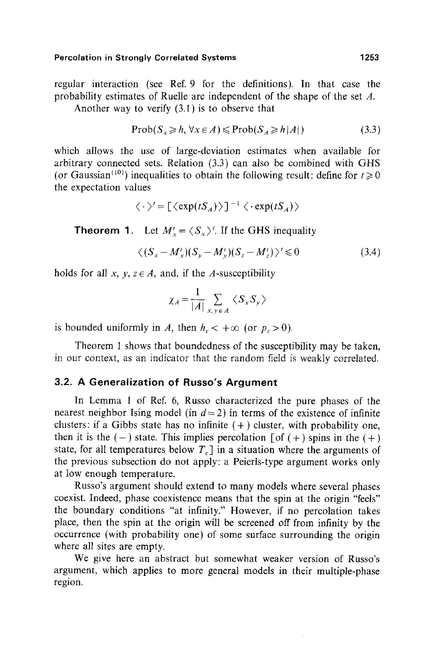regular interaction (see Ref. 9 for the definitions). In that case the probability estimates of Ruelle are independent of the shape of the set A.

Another way to verify (3.1) is to observe that

$$
Prob(S_x \ge h, \forall x \in A) \le Prob(S_A \ge h|A|)
$$
 (3.3)

which allows the use of large-deviation estimates when available for arbitrary connected sets. Relation (3.3) can also be combined with GHS (or Gaussian<sup>(10)</sup>) inequalities to obtain the following result: define for  $t \ge 0$ the expectation values

$$
\langle \cdot \rangle' = [\langle \exp(tS_A) \rangle]^{-1} \langle \cdot \exp(tS_A) \rangle
$$

**Theorem 1.** Let  $M'_x = \langle S_x \rangle^t$ . If the GHS inequality

$$
\langle (S_x - M'_x)(S_y - M'_y)(S_z - M'_z) \rangle^t \leq 0 \tag{3.4}
$$

holds for all x,  $y, z \in A$ , and, if the A-susceptibility

$$
\chi_A = \frac{1}{|A|} \sum_{x,y \in A} \langle S_x S_y \rangle
$$

is bounded uniformly in A, then  $h_c < +\infty$  (or  $p_c > 0$ ).

Theorem 1 shows that boundedness of the susceptibility may be taken, in our context, as an indicator that the random field is weakly correlated.

# **3.2. A Generalization of Russo's Argument**

In Lemma 1 of Ref. 6, Russo characterized the pure phases of the nearest neighbor Ising model (in  $d=2$ ) in terms of the existence of infinite clusters: if a Gibbs state has no infinite  $(+)$  cluster, with probability one, then it is the  $(-)$  state. This implies percolation  $\lceil \text{of } (+) \text{ spins in the } (+)$ state, for all temperatures below  $T_c$  in a situation where the arguments of the previous subsection do not apply: a Peierls-type argument works only at low enough temperature.

Russo's argument should extend to many models where several phases coexist. Indeed, phase coexistence means that the spin at the origin "feels" the boundary conditions "at infinity." However, if no percolation takes place, then the spin at the origin will be screened off from infinity by the occurrence (with probability one) of some surface surrounding the origin where all sites are empty.

We give here an abstract but somewhat weaker version of Russo's argument, which applies to more general models in their multiple-phase region.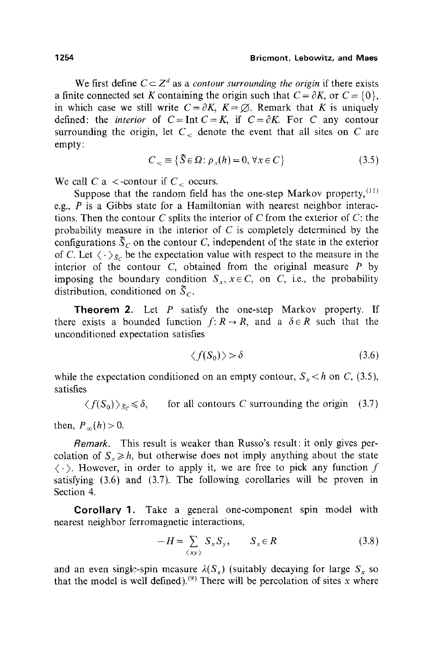We first define  $C \subset Z^d$  as a *contour surrounding the origin* if there exists a finite connected set K containing the origin such that  $C = \partial K$ , or  $C = \{0\}$ , in which case we still write  $C = \partial K$ ,  $K = \emptyset$ . Remark that K is uniquely defined: the *interior* of  $C = \text{Int } C = K$ , if  $C = \partial K$ . For C any contour surrounding the origin, let  $C<sub>z</sub>$  denote the event that all sites on C are empty:

$$
C_{\leq} \equiv \{ \tilde{S} \in \Omega : \rho_{x}(h) = 0, \forall x \in C \}
$$
 (3.5)

We call C a <-contour if  $C_c$  occurs.

Suppose that the random field has the one-step Markov property,  $(11)$ e.g.,  $P$  is a Gibbs state for a Hamiltonian with nearest neighbor interactions. Then the contour C splits the interior of C from the exterior of  $C$ : the probability measure in the interior of  $C$  is completely determined by the configurations  $\overline{S}_C$  on the contour C, independent of the state in the exterior of C. Let  $\langle \cdot \rangle_{\bar{S}_C}$  be the expectation value with respect to the measure in the interior of the contour  $C$ , obtained from the original measure  $P$  by imposing the boundary condition  $S_x$ ,  $x \in C$ , on C, i.e., the probability distribution, conditioned on  $\tilde{S}_C$ .

**Theorem 2.** Let  $P$  satisfy the one-step Markov property. If there exists a bounded function  $f: R \to R$ , and a  $\delta \in R$  such that the unconditioned expectation satisfies

$$
\langle f(S_0) \rangle > \delta \tag{3.6}
$$

while the expectation conditioned on an empty contour,  $S_x < h$  on C, (3.5), satisfies

 $\langle f(S_0) \rangle_{\tilde{S}_c} \leq \delta$ , for all contours C surrounding the origin (3.7)

then,  $P_{\infty}(h) > 0$ .

*Remark.* This result is weaker than Russo's result: it only gives percolation of  $S_r \geq h$ , but otherwise does not imply anything about the state  $\langle \cdot \rangle$ . However, in order to apply it, we are free to pick any function f satisfying (3.6) and (3.7). The following corollaries will be proven in Section 4.

Corollary 1. Take a general one-component spin model with nearest neighbor ferromagnetic interactions,

$$
-H = \sum_{\langle xy \rangle} S_x S_y; \qquad S_x \in R \tag{3.8}
$$

and an even single-spin measure  $\lambda(S_x)$  (suitably decaying for large  $S_x$  so that the model is well defined). <sup>(9)</sup> There will be percolation of sites x where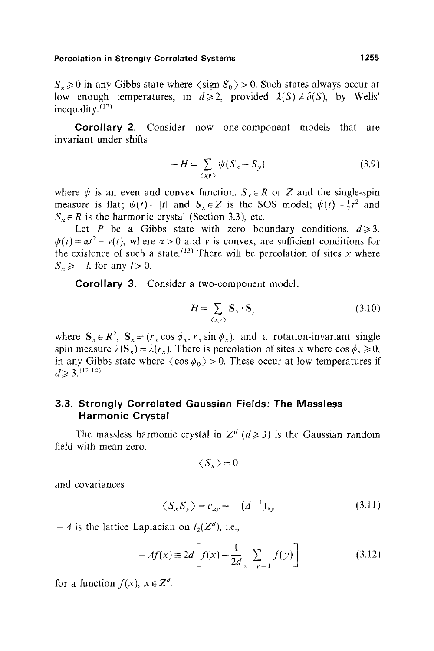$S_r \ge 0$  in any Gibbs state where  $\langle \text{sign } S_0 \rangle > 0$ . Such states always occur at low enough temperatures, in  $d \ge 2$ , provided  $\lambda(S) \neq \delta(S)$ , by Wells' inequality. $(12)$ 

**Corollary** 2. Consider now one-component models that are invariant under shifts

$$
-H = \sum_{\langle xy \rangle} \psi(S_x - S_y) \tag{3.9}
$$

where  $\psi$  is an even and convex function.  $S_{\tau} \in R$  or Z and the single-spin measure is flat;  $\psi(t) = |t|$  and  $S_x \in Z$  is the SOS model;  $\psi(t) = \frac{1}{2}t^2$  and  $S<sub>x</sub> \in R$  is the harmonic crystal (Section 3.3), etc.

Let P be a Gibbs state with zero boundary conditions,  $d \ge 3$ ,  $\psi(t) = \alpha t^2 + v(t)$ , where  $\alpha > 0$  and v is convex, are sufficient conditions for the existence of such a state.  $(13)$  There will be percolation of sites x where  $S_z \ge -l$ , for any  $l>0$ .

**Corollary** 3. Consider a two-component model:

$$
-H = \sum_{\langle xy \rangle} \mathbf{S}_x \cdot \mathbf{S}_y \tag{3.10}
$$

where  $S_x \in R^2$ ,  $S_x = (r_x \cos \phi_x, r_x \sin \phi_x)$ , and a rotation-invariant single spin measure  $\lambda(S_x) = \lambda(r_x)$ . There is percolation of sites x where cos  $\phi_x \ge 0$ , in any Gibbs state where  $\langle \cos \phi_0 \rangle > 0$ . These occur at low temperatures if  $d \geq 3$ . (12,14)

# **3.3. Strongly Correlated Gaussian Fields: The Massless Harmonic** Crystal

The massless harmonic crystal in  $Z^d$  ( $d \ge 3$ ) is the Gaussian random field with mean zero.

$$
\langle S_x \rangle = 0
$$

and covariances

$$
\langle S_x S_y \rangle = c_{xy} = -(A^{-1})_{xy} \tag{3.11}
$$

 $-A$  is the lattice Laplacian on  $l_2(Z^d)$ , i.e.,

$$
-Af(x) \equiv 2d\left[f(x) - \frac{1}{2d} \sum_{x-y=1}^{d} f(y)\right]
$$
 (3.12)

for a function  $f(x)$ ,  $x \in \mathbb{Z}^d$ .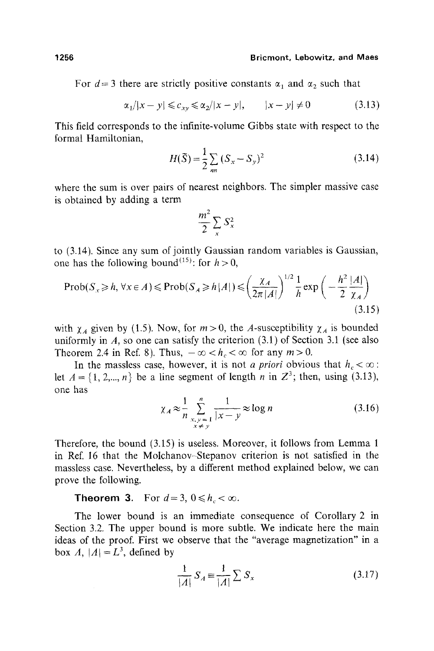For  $d=3$  there are strictly positive constants  $\alpha_1$  and  $\alpha_2$  such that

$$
\alpha_1/|x - y| \leq c_{xy} \leq \alpha_2/|x - y|, \qquad |x - y| \neq 0 \tag{3.13}
$$

This field corresponds to the infinite-volume Gibbs state with respect to the formal Hamiltonian,

$$
H(\tilde{S}) = \frac{1}{2} \sum_{nn} (S_x - S_y)^2
$$
 (3.14)

where the sum is over pairs of nearest neighbors. The simpler massive case is obtained by adding a term

$$
\frac{m^2}{2} \sum_x S_x^2
$$

to (3.14). Since any sum of jointly Gaussian random variables is Gaussian, one has the following bound<sup>(15)</sup>: for  $h > 0$ ,

$$
\text{Prob}(S_x \ge h, \forall x \in A) \le \text{Prob}(S_A \ge h|A|) \le \left(\frac{\chi_A}{2\pi|A|}\right)^{1/2} \frac{1}{h} \exp\left(-\frac{h^2|A|}{2\chi_A}\right) \tag{3.15}
$$

with  $\chi_A$  given by (1.5). Now, for  $m > 0$ , the A-susceptibility  $\chi_A$  is bounded uniformly in  $A$ , so one can satisfy the criterion  $(3.1)$  of Section 3.1 (see also Theorem 2.4 in Ref. 8). Thus,  $-\infty < h< \infty$  for any  $m > 0$ .

In the massless case, however, it is not *a priori* obvious that  $h_c < \infty$ : let  $A = \{1, 2,..., n\}$  be a line segment of length n in  $\mathbb{Z}^3$ ; then, using (3.13), one has

$$
\chi_A \approx \frac{1}{n} \sum_{\substack{x,y=1\\x \neq y}}^{n} \frac{1}{|x-y|} \approx \log n \tag{3.16}
$$

Therefore, the bound (3.15) is useless. Moreover, it follows from Lemma 1 in Ref. 16 that the Molchanov-Stepanov criterion is not satisfied in the massless case. Nevertheless, by a different method explained below, we can prove the following.

#### **Theorem 3.** For  $d=3$ ,  $0 \le h_c < \infty$ .

The lower bound is an immediate consequence of Corollary 2 in Section 3.2. The upper bound is more subtle. We indicate here the main ideas of the proof. First we observe that the "average magnetization" in a box  $A$ ,  $|A| = L^3$ , defined by

$$
\frac{1}{|A|} S_A \equiv \frac{1}{|A|} \sum S_x \tag{3.17}
$$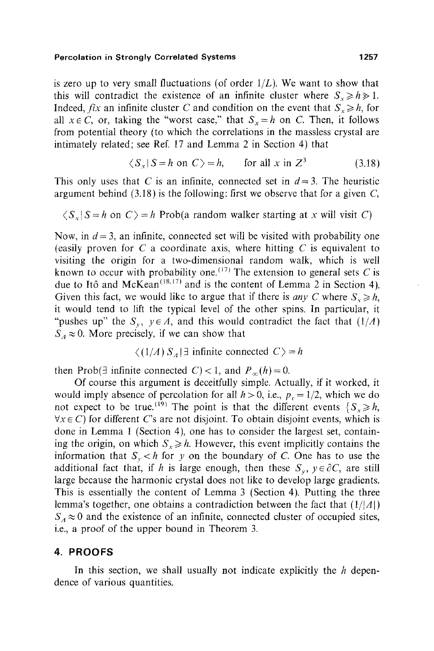is zero up to very small fluctuations (of order  $1/L$ ). We want to show that this will contradict the existence of an infinite cluster where  $S_x \ge h \ge 1$ . Indeed, *fix* an infinite cluster C and condition on the event that  $S_x \ge h$ , for all  $x \in C$ , or, taking the "worst case," that  $S<sub>x</sub> = h$  on C. Then, it follows from potential theory (to which the correlations in the massless crystal are intimately related; see Ref. 17 and Lemma 2 in Section 4) that

$$
\langle S_x | S = h \text{ on } C \rangle = h, \qquad \text{for all } x \text{ in } Z^3 \tag{3.18}
$$

This only uses that C is an infinite, connected set in  $d = 3$ . The heuristic argument behind  $(3.18)$  is the following: first we observe that for a given C,

$$
\langle S_x | S = h \text{ on } C \rangle = h \text{ Prob}(a \text{ random walker starting at } x \text{ will visit } C)
$$

Now, in  $d = 3$ , an infinite, connected set will be visited with probability one (easily proven for  $C$  a coordinate axis, where hitting  $C$  is equivalent to visiting the origin for a two-dimensional random walk, which is well known to occur with probability one.  $^{(17)}$  The extension to general sets C is due to Itô and McKean<sup> $(18,17)$ </sup> and is the content of Lemma 2 in Section 4). Given this fact, we would like to argue that if there is *any C* where  $S_{x} \ge h$ , it would tend to lift the typical level of the other spins. In particular, it "pushes up" the  $S_y$ ,  $y \in A$ , and this would contradict the fact that  $(1/A)$  $S_A \approx 0$ . More precisely, if we can show that

 $\langle (1/A) S_A | \exists$  infinite connected  $C \rangle = h$ 

then Prob(3 infinite connected C) < 1, and  $P_{\infty}(h) = 0$ .

Of course this argument is deceitfully simple. Actually, if it worked, it would imply absence of percolation for all  $h > 0$ , i.e.,  $p_c = 1/2$ , which we do not expect to be true.<sup>(19)</sup> The point is that the different events  ${S_r \ge h}$ ,  $\forall x \in C$ ) for different C's are not disjoint. To obtain disjoint events, which is done in Lemma 1 (Section 4), one has to consider the largest set, containing the origin, on which  $S_x \ge h$ . However, this event implicitly contains the information that  $S_y < h$  for y on the boundary of C. One has to use the additional fact that, if h is large enough, then these  $S_{\nu}$ ,  $y \in \partial C$ , are still large because the harmonic crystal does not like to develop large gradients. This is essentially the content of Lemma 3 (Section 4). Putting the three lemma's together, one obtains a contradiction between the fact that  $(1/|A|)$  $S_A \approx 0$  and the existence of an infinite, connected cluster of occupied sites, i.e., a proof of the upper bound in Theorem 3.

#### **4. PROOFS**

In this section, we shall usually not indicate explicitly the  $h$  dependence of various quantities.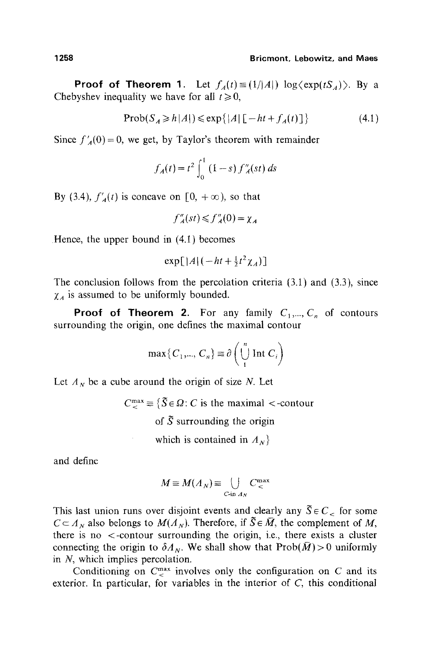**Proof of Theorem 1.** Let  $f_A(t) \equiv (1/|A|) \log \langle \exp(tS_A) \rangle$ . By a Chebyshev inequality we have for all  $t \ge 0$ ,

$$
Prob(S_A \ge h|A|) \le exp\{|A| [-ht + f_A(t)]\}
$$
 (4.1)

Since  $f'_{A}(0)=0$ , we get, by Taylor's theorem with remainder

$$
f_A(t) = t^2 \int_0^1 (1 - s) f''_A(st) \, ds
$$

By (3.4),  $f'_{A}(t)$  is concave on  $[0, +\infty)$ , so that

$$
f''_A(st) \leq f''_A(0) = \chi_A
$$

Hence, the upper bound in (4.1) becomes

$$
\exp[|A|(-ht+\tfrac{1}{2}t^2\chi_A)]
$$

The conclusion follows from the percolation criteria  $(3.1)$  and  $(3.3)$ , since  $\chi_A$  is assumed to be uniformly bounded.

**Proof of Theorem 2.** For any family  $C_1, ..., C_n$  of contours surrounding the origin, one defines the maximal contour

$$
\max\{C_1,\dots,C_n\} \equiv \partial \left(\bigcup_{i=1}^n \text{Int } C_i\right)
$$

Let  $A_N$  be a cube around the origin of size N. Let

 $C_{\mathcal{L}}^{\max} \equiv \{ \tilde{S} \in \Omega : C \text{ is the maximal} < \text{-contour} \}$ of  $\tilde{S}$  surrounding the origin which is contained in  $A_N$ 

and define

$$
M \equiv M(A_N) \equiv \bigcup_{C \text{ in } A_N} C^{\max}_{<}
$$

This last union runs over disjoint events and clearly any  $\tilde{S} \in C_{\leq}$  for some  $C \subset A_N$  also belongs to  $M(A_N)$ . Therefore, if  $\tilde{S} \in \overline{M}$ , the complement of M, there is no <-contour surrounding the origin, i.e., there exists a cluster connecting the origin to  $\delta A_N$ . We shall show that  $\text{Prob}(\bar{M}) > 0$  uniformly in  $N$ , which implies percolation.

Conditioning on  $C<sub><</sub><sup>max</sup>$  involves only the configuration on C and its exterior. In particular, for variables in the interior of C, this conditional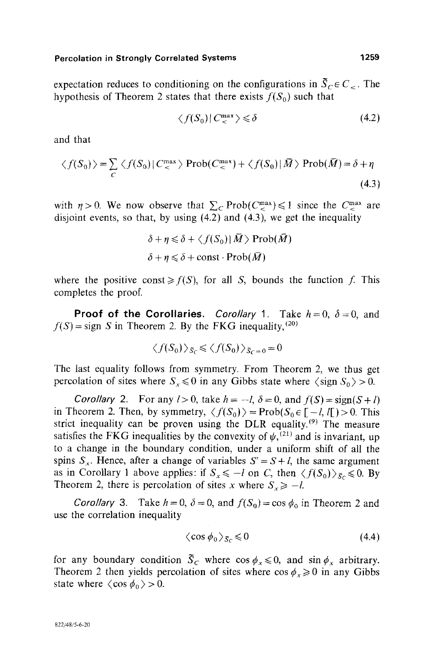expectation reduces to conditioning on the configurations in  $\overline{S}_C \in C_{\leq}$ . The hypothesis of Theorem 2 states that there exists  $f(S_0)$  such that

$$
\langle f(S_0) | C_{\leq}^{\max} \rangle \leq \delta \tag{4.2}
$$

and that

$$
\langle f(S_0) \rangle = \sum_C \langle f(S_0) | C_{\leq}^{\max} \rangle \operatorname{Prob}(C_{\leq}^{\max}) + \langle f(S_0) | \bar{M} \rangle \operatorname{Prob}(\bar{M}) = \delta + \eta
$$
\n(4.3)

with  $\eta > 0$ . We now observe that  $\sum_{C} \text{Prob}(C_{\leq}^{\text{max}}) \leq 1$  since the  $C_{\leq}^{\text{max}}$  are disjoint events, so that, by using (4.2) and (4.3), we get the inequality

$$
\delta + \eta \leq \delta + \langle f(S_0) | \bar{M} \rangle \operatorname{Prob}(\bar{M})
$$
  

$$
\delta + \eta \leq \delta + \operatorname{const} \cdot \operatorname{Prob}(\bar{M})
$$

where the positive const  $\geq f(S)$ , for all S, bounds the function f. This completes the proof.

**Proof of the Corollaries.** *Corollary* 1. Take  $h=0$ ,  $\delta=0$ , and  $f(S) =$ sign S in Theorem 2. By the FKG inequality,<sup>(20)</sup>

$$
\langle f(S_0) \rangle_{\tilde{S}_C} \leqslant \langle f(S_0) \rangle_{\tilde{S}_C = 0} = 0
$$

The last equality follows from symmetry. From Theorem 2, we thus get percolation of sites where  $S_x \le 0$  in any Gibbs state where  $\langle \text{sign } S_0 \rangle > 0$ .

*Corollary* 2. For any  $l > 0$ , take  $h = -l$ ,  $\delta = 0$ , and  $f(S) = sign(S + l)$ in Theorem 2. Then, by symmetry,  $\langle f(S_0) \rangle = \text{Prob}(S_0 \in [-l, l]) > 0$ . This strict inequality can be proven using the DLR equality.<sup> $(9)$ </sup> The measure satisfies the FKG inequalities by the convexity of  $\psi$ , (21) and is invariant, up to a change in the boundary condition, under a uniform shift of all the spins  $S_x$ . Hence, after a change of variables  $S' = S + l$ , the same argument as in Corollary 1 above applies: if  $S_x \le -l$  on C, then  $\langle f(S_0) \rangle_{S_C} \le 0$ . By Theorem 2, there is percolation of sites x where  $S_x \ge -l$ .

*Corollary* 3. Take  $h = 0$ ,  $\delta = 0$ , and  $f(S_0) = \cos \phi_0$  in Theorem 2 and use the correlation inequality

$$
\langle \cos \phi_0 \rangle_{\tilde{S}_C} \leq 0 \tag{4.4}
$$

for any boundary condition  $\tilde{S}_c$  where  $\cos \phi_x \leq 0$ , and  $\sin \phi_x$  arbitrary. Theorem 2 then yields percolation of sites where  $\cos \phi_x \ge 0$  in any Gibbs state where  $\langle \cos \phi_0 \rangle > 0$ .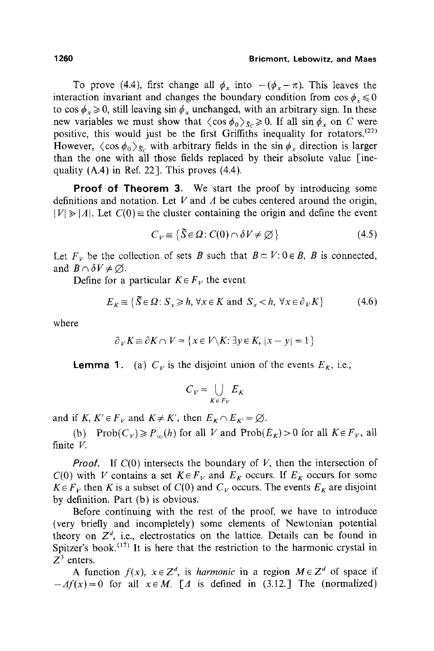To prove (4.4), first change all  $\phi_x$  into  $-(\phi_x - \pi)$ . This leaves the interaction invariant and changes the boundary condition from  $\cos \phi_x \leq 0$ to cos  $\phi_x \ge 0$ , still leaving sin  $\phi_x$  unchanged, with an arbitrary sign. In these new variables we must show that  $\langle \cos \phi_0 \rangle_{\tilde{S}_C} \ge 0$ . If all  $\sin \phi_x$  on C were positive, this would just be the first Griffiths inequality for rotators.<sup> $(22)$ </sup> However,  $\langle \cos \phi_0 \rangle_{\delta c}$  with arbitrary fields in the sin  $\phi_x$  direction is larger than the one with all those fields replaced by their absolute value [inequality  $(A.4)$  in Ref. 22]. This proves  $(4.4)$ .

**Proof of Theorem** 3. We start the proof by introducing some definitions and notation. Let  $V$  and  $\Lambda$  be cubes centered around the origin,  $|V| \ge |A|$ . Let  $C(0)$  = the cluster containing the origin and define the event

$$
C_V \equiv \{ \tilde{S} \in \Omega : C(0) \cap \delta V \neq \emptyset \}
$$
 (4.5)

Let  $F_V$  be the collection of sets B such that  $B \subset V: 0 \in B$ , B is connected, and  $B \cap \delta V \neq \emptyset$ .

Define for a particular  $K \in F_V$  the event

$$
E_K \equiv \{ \tilde{S} \in \Omega : S_{\tilde{X}} \ge h, \forall x \in K \text{ and } S_{\tilde{X}} < h, \forall x \in \partial_V K \} \tag{4.6}
$$

where

$$
\partial_V K \equiv \partial K \cap V = \{ x \in V \setminus K : \exists y \in K, |x - y| = 1 \}
$$

**Lemma 1.** (a)  $C_V$  is the disjoint union of the events  $E_K$ , i.e.,

$$
C_V = \bigcup_{K \in F_V} E_K
$$

and if *K, K'*  $\in$  *F<sub>V</sub>* and *K* $\neq$  *K'*, then  $E_K \cap E_{K'} = \emptyset$ .

(b) Prob $(C_V) \ge P_{\infty}(h)$  for all V and Prob $(E_K) > 0$  for all  $K \in F_V$ , all finite V.

*Proof.* If  $C(0)$  intersects the boundary of V, then the intersection of  $C(0)$  with V contains a set  $K \in F_V$  and  $E_K$  occurs. If  $E_K$  occurs for some  $K \in F_V$  then K is a subset of  $C(0)$  and  $C_V$  occurs. The events  $E_K$  are disjoint by definition. Part (b) is obvious.

Before continuing with the rest of the proof, we have to introduce (very briefly and incompletely) some elements of Newtonian potential theory on  $Z<sup>d</sup>$ , i.e., electrostatics on the lattice. Details can be found in Spitzer's book.<sup> $(17)$ </sup> It is here that the restriction to the harmonic crystal in  $Z^3$  enters.

A function  $f(x)$ ,  $x \in \mathbb{Z}^d$ , is *harmonic* in a region  $M \in \mathbb{Z}^d$  of space if  $-Af(x)=0$  for all  $x \in M$ . [*A* is defined in (3.12.] The (normalized)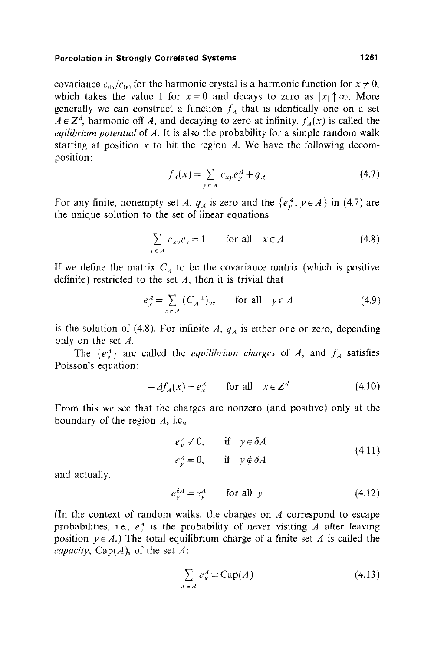covariance  $c_{0x}/c_{00}$  for the harmonic crystal is a harmonic function for  $x \neq 0$ , which takes the value 1 for  $x=0$  and decays to zero as  $|x| \uparrow \infty$ . More generally we can construct a function  $f_A$  that is identically one on a set  $A \in \mathbb{Z}^d$ , harmonic off A, and decaying to zero at infinity,  $f_A(x)$  is called the *eqilibrium potential* of A. It is also the probability for a simple random walk starting at position x to hit the region A. We have the following decomposition:

$$
f_A(x) = \sum_{y \in A} c_{xy} e_y^A + q_A \tag{4.7}
$$

For any finite, nonempty set *A*,  $q_A$  is zero and the  $\{e_v^A$ ;  $y \in A\}$  in (4.7) are the unique solution to the set of linear equations

$$
\sum_{y \in A} c_{xy} e_y = 1 \qquad \text{for all} \quad x \in A \tag{4.8}
$$

If we define the matrix  $C_A$  to be the covariance matrix (which is positive definite) restricted to the set  $A$ , then it is trivial that

$$
e_y^A = \sum_{z \in A} (C_A^{-1})_{yz} \qquad \text{for all} \quad y \in A \tag{4.9}
$$

is the solution of (4.8). For infinite  $A$ ,  $q_A$  is either one or zero, depending only on the set A.

The  $\{e_{\nu}^A\}$  are called the *equilibrium charges* of A, and  $f_A$  satisfies Poisson's equation:

$$
-df_A(x) = e_x^A \qquad \text{for all} \quad x \in \mathbb{Z}^d \tag{4.10}
$$

From this we see that the charges are nonzero (and positive) only at the boundary of the region A, i.e.,

$$
e_y^A \neq 0, \t\t \text{if} \t y \in \delta A e_y^A = 0, \t\t \text{if} \t y \notin \delta A
$$
\n(4.11)

and actually,

$$
e_y^{\delta A} = e_y^A \qquad \text{for all } y \tag{4.12}
$$

(In the context of random walks, the charges on  $A$  correspond to escape probabilities, i.e.,  $e_n^A$  is the probability of never visiting A after leaving position  $y \in A$ .) The total equilibrium charge of a finite set A is called the *capacity*,  $Cap(A)$ , of the set A:

$$
\sum_{x \in A} e_x^A \equiv \text{Cap}(A) \tag{4.13}
$$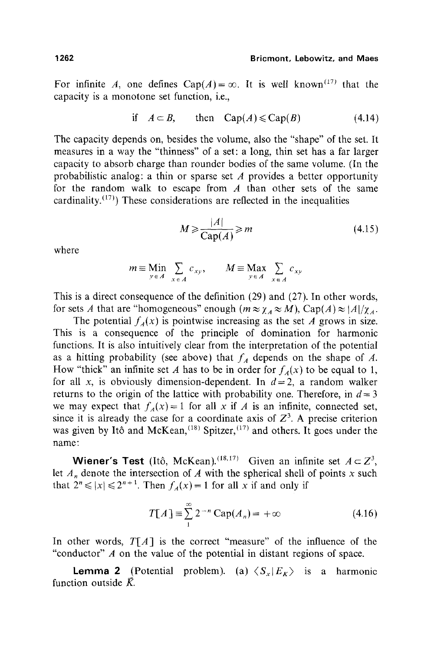For infinite A, one defines  $Cap(A) = \infty$ . It is well known<sup>(17)</sup> that the capacity is a monotone set function, i.e.,

if 
$$
A \subset B
$$
, then  $Cap(A) \le Cap(B)$  (4.14)

The capacity depends on, besides the volume, also the "shape" of the set. It measures in a way the "thinness" of a set: a long, thin set has a far larger capacity to absorb charge than rounder bodies of the same volume. (In the probabilistic analog: a thin or sparse set  $A$  provides a better opportunity for the random walk to escape from  $\vec{A}$  than other sets of the same cardinality.<sup> $(17)$ </sup>) These considerations are reflected in the inequalities

$$
M \geqslant \frac{|A|}{\text{Cap}(A)} \geqslant m \tag{4.15}
$$

where

$$
m \equiv \lim_{y \in A} \sum_{x \in A} c_{xy}, \qquad M \equiv \max_{y \in A} \sum_{x \in A} c_{xy}
$$

This is a direct consequence of the definition (29) and (27). In other words, for sets A that are "homogeneous" enough  $(m \approx \chi_A \approx M)$ , Cap(A)  $\approx |A|/\chi_A$ .

The potential  $f_{\hat{A}}(x)$  is pointwise increasing as the set A grows in size. This is a consequence of the principle of domination for harmonic functions. It is also intuitively clear from the interpretation of the potential as a hitting probability (see above) that  $f_A$  depends on the shape of A. How "thick" an infinite set A has to be in order for  $f_{\mu}(x)$  to be equal to 1, for all x, is obviously dimension-dependent. In  $d=2$ , a random walker returns to the origin of the lattice with probability one. Therefore, in  $d=3$ we may expect that  $f_A(x) = 1$  for all x if A is an infinite, connected set, since it is already the case for a coordinate axis of  $Z<sup>3</sup>$ . A precise criterion was given by Itô and McKean,  $(18)$  Spitzer,  $(17)$  and others. It goes under the name:

Wiener's Test (Itô, McKean).<sup>(18,17)</sup> Given an infinite set  $A \subset Z^3$ , let  $A_n$  denote the intersection of A with the spherical shell of points x such that  $2^n \le |x| \le 2^{n+1}$ . Then  $f_A(x) = 1$  for all x if and only if

$$
T[A] \equiv \sum_{1}^{\infty} 2^{-n} \operatorname{Cap}(A_n) = +\infty \tag{4.16}
$$

In other words,  $T[A]$  is the correct "measure" of the influence of the "conductor" A on the value of the potential in distant regions of space.

**Lemma 2** (Potential problem). (a)  $\langle S_x | E_x \rangle$  is a harmonic function outside  $\bar{K}$ .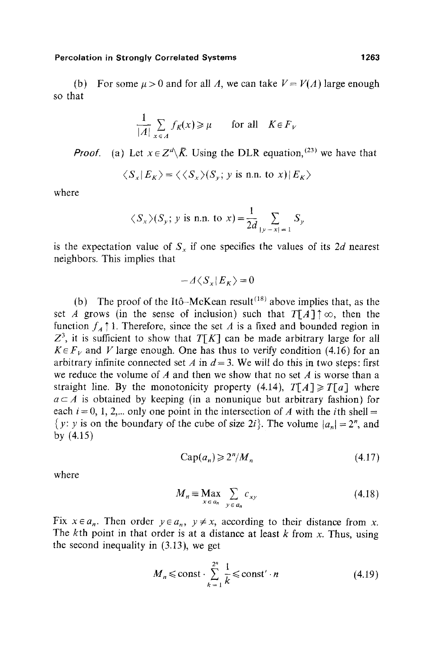$$
\frac{1}{|A|} \sum_{x \in A} f_K(x) \ge \mu \quad \text{for all} \quad K \in F_V
$$

*Proof.* (a) Let  $x \in \mathbb{Z}^d \setminus \overline{K}$ . Using the DLR equation, <sup>(23)</sup> we have that

$$
\langle S_x | E_K \rangle = \langle \langle S_x \rangle (S_y; y \text{ is n.n. to } x) | E_K \rangle
$$

where

$$
\langle S_x \rangle (S_y; y \text{ is n.n. to } x) = \frac{1}{2d} \sum_{|y-x|=1} S_y
$$

is the expectation value of  $S<sub>x</sub>$  if one specifies the values of its 2d nearest neighbors. This implies that

$$
-A\langle S_x|E_K\rangle=0
$$

(b) The proof of the Itô-McKean result<sup> $(18)$ </sup> above implies that, as the set A grows (in the sense of inclusion) such that  $T[A]\uparrow\infty$ , then the function  $f_A \uparrow 1$ . Therefore, since the set A is a fixed and bounded region in  $Z<sup>3</sup>$ , it is sufficient to show that *T[K]* can be made arbitrary large for all  $K \in \mathbb{F}_V$  and V large enough. One has thus to verify condition (4.16) for an arbitrary infinite connected set A in  $d = 3$ . We will do this in two steps: first we reduce the volume of  $A$  and then we show that no set  $A$  is worse than a straight line. By the monotonicity property  $(4.14)$ ,  $T[A] \ge T[a]$  where  $a \subset A$  is obtained by keeping (in a nonunique but arbitrary fashion) for each  $i = 0, 1, 2,...$  only one point in the intersection of A with the *i*th shell = {y: y is on the boundary of the cube of size 2i}. The volume  $|a_n| = 2^n$ , and by (4.15)

$$
Cap(a_n) \geqslant 2^n / M_n \tag{4.17}
$$

where

$$
M_n \equiv \underset{x \in a_n}{\text{Max}} \sum_{y \in a_n} c_{xy} \tag{4.18}
$$

Fix  $x \in a_n$ . Then order  $y \in a_n$ ,  $y \neq x$ , according to their distance from x. The kth point in that order is at a distance at least  $k$  from  $x$ . Thus, using the second inequality in (3.13), we get

$$
M_n \le \text{const} \cdot \sum_{k=1}^{2^n} \frac{1}{k} \le \text{const}' \cdot n \tag{4.19}
$$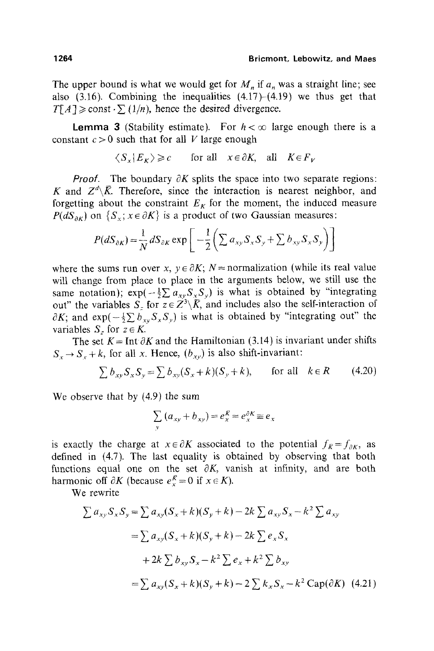The upper bound is what we would get for  $M_n$  if  $a_n$  was a straight line; see also  $(3.16)$ . Combining the inequalities  $(4.17)$ – $(4.19)$  we thus get that  $T[A] \geq \text{const} \cdot \sum (1/n)$ , hence the desired divergence.

**Lemma 3** (Stability estimate). For  $h < \infty$  large enough there is a constant  $c > 0$  such that for all V large enough

$$
\langle S_x | E_K \rangle \ge c
$$
 for all  $x \in \partial K$ , all  $K \in F_V$ 

*Proof.* The boundary  $\partial K$  splits the space into two separate regions: K and  $Z^d \backslash \overline{K}$ . Therefore, since the interaction is nearest neighbor, and forgetting about the constraint  $E<sub>K</sub>$  for the moment, the induced measure  $P(dS_{\alpha K})$  on  $\{S_{\alpha}; x \in \partial K\}$  is a product of two Gaussian measures:

$$
P(dS_{\partial K}) = \frac{1}{N} dS_{\partial K} \exp \left[ -\frac{1}{2} \left( \sum a_{xy} S_x S_y + \sum b_{xy} S_x S_y \right) \right]
$$

where the sums run over x,  $y \in \partial K$ ; N = normalization (while its real value wilt change from place to place in the arguments below, we still use the same notation);  $exp(-\frac{1}{2}\sum a_{xy}S_xS_y)$  is what is obtained by "integrating out" the variables  $S_$  for  $z \in \overline{Z^3} \backslash \overline{K}$ , and includes also the self-interaction of  $\partial K$ ; and  $\exp(-\frac{1}{2}\sum b_{xy}S_xS_y)$  is what is obtained by "integrating out" the variables  $S_z$  for  $z \in K$ .

The set  $K = \text{Int } \partial K$  and the Hamiltonian (3.14) is invariant under shifts  $S_x \rightarrow S_x + k$ , for all x. Hence,  $(b_{xy})$  is also shift-invariant:

$$
\sum b_{xy} S_x S_y = \sum b_{xy} (S_x + k)(S_y + k), \quad \text{for all} \quad k \in R \tag{4.20}
$$

We observe that by (4.9) the sum

$$
\sum_{y} (a_{xy} + b_{xy}) = e_x^{\overline{K}} = e_x^{\partial K} \equiv e_x
$$

is exactly the charge at  $x \in \partial K$  associated to the potential  $f_{\overline{K}} = f_{\partial K}$ , as defined in (4.7). The last equality is obtained by observing that both functions equal one on the set  $\partial K$ , vanish at infinity, and are both harmonic off  $\partial K$  (because  $e_x^R = 0$  if  $x \in K$ ).

We rewrite

$$
\sum a_{xy} S_x S_y = \sum a_{xy} (S_x + k)(S_y + k) - 2k \sum a_{xy} S_x - k^2 \sum a_{xy}
$$
  
= 
$$
\sum a_{xy} (S_x + k)(S_y + k) - 2k \sum e_x S_x
$$
  
+ 
$$
2k \sum b_{xy} S_x - k^2 \sum e_x + k^2 \sum b_{xy}
$$
  
= 
$$
\sum a_{xy} (S_x + k)(S_y + k) - 2 \sum k_x S_x - k^2 \text{Cap}(\partial K) \quad (4.21)
$$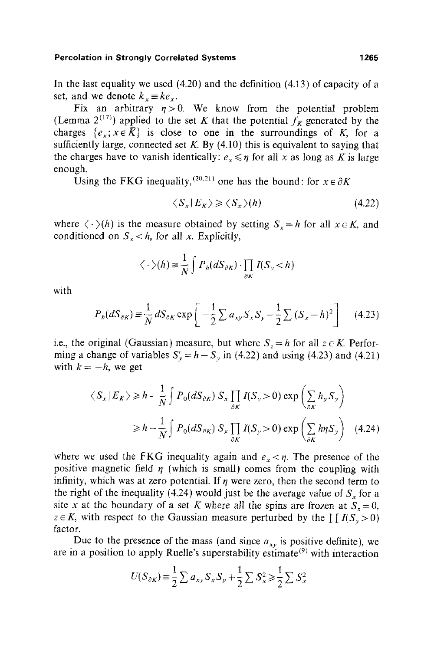In the last equality we used  $(4.20)$  and the definition  $(4.13)$  of capacity of a set, and we denote  $k_x \equiv ke_x$ .

Fix an arbitrary  $\eta>0$ . We know from the potential problem (Lemma 2<sup>(17)</sup>) applied to the set K that the potential  $f_{\overline{K}}$  generated by the charges  $\{e_x, x \in \overline{K}\}\$ is close to one in the surroundings of K, for a sufficiently large, connected set  $K$ . By (4.10) this is equivalent to saying that the charges have to vanish identically:  $e_x \leq \eta$  for all x as long as K is large enough.

Using the FKG inequality,  $^{(20,21)}$  one has the bound: for  $x \in \partial K$ 

$$
\langle S_x | E_K \rangle \geqslant \langle S_x \rangle (h) \tag{4.22}
$$

where  $\langle \cdot \rangle(h)$  is the measure obtained by setting  $S_x = h$  for all  $x \in K$ , and conditioned on  $S_x < h$ , for all x. Explicitly,

$$
\langle \cdot \rangle(h) \equiv \frac{1}{N} \int P_h(dS_{\partial K}) \cdot \prod_{\partial K} I(S_{\nu} < h)
$$

with

$$
P_h(dS_{\partial K}) \equiv \frac{1}{N} dS_{\partial K} \exp\left[-\frac{1}{2}\sum a_{xy} S_x S_y - \frac{1}{2}\sum (S_x - h)^2\right]
$$
(4.23)

i.e., the original (Gaussian) measure, but where  $S_z = h$  for all  $z \in K$ . Performing a change of variables  $S'_v = h - S_v$  in (4.22) and using (4.23) and (4.21) with  $k = -h$ , we get

$$
\langle S_x | E_K \rangle \ge h - \frac{1}{N} \int P_0(dS_{\partial K}) S_x \prod_{\partial K} I(S_y > 0) \exp \left( \sum_{\partial K} h_y S_y \right)
$$
  

$$
\ge h - \frac{1}{N} \int P_0(dS_{\partial K}) S_x \prod_{\partial K} I(S_y > 0) \exp \left( \sum_{\partial K} h_{\eta} S_y \right) \quad (4.24)
$$

where we used the FKG inequality again and  $e_x < \eta$ . The presence of the positive magnetic field  $\eta$  (which is small) comes from the coupling with infinity, which was at zero potential. If  $\eta$  were zero, then the second term to the right of the inequality (4.24) would just be the average value of  $S<sub>x</sub>$  for a site x at the boundary of a set K where all the spins are frozen at  $S_z = 0$ ,  $z \in K$ , with respect to the Gaussian measure perturbed by the  $\prod I(S_v > 0)$ factor.

Due to the presence of the mass (and since  $a_{xy}$  is positive definite), we are in a position to apply Ruelle's superstability estimate<sup>(9)</sup> with interaction

$$
U(S_{\partial K}) \equiv \frac{1}{2} \sum a_{xy} S_x S_y + \frac{1}{2} \sum S_x^2 \ge \frac{1}{2} \sum S_x^2
$$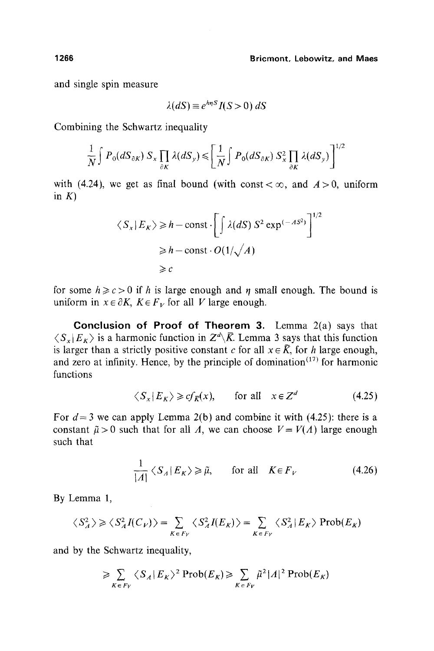and single spin measure

$$
\lambda(dS) \equiv e^{h\eta S} I(S > 0) dS
$$

Combining the Schwartz inequality

$$
\frac{1}{N}\int P_0(dS_{\partial K}) S_x \prod_{\partial K} \lambda(dS_y) \leqslant \left[\frac{1}{N}\int P_0(dS_{\partial K}) S_x^2 \prod_{\partial K} \lambda(dS_y)\right]^{1/2}
$$

with (4.24), we get as final bound (with const  $< \infty$ , and  $A > 0$ , uniform in  $K$ )

$$
\langle S_x | E_K \rangle \ge h - \text{const} \cdot \left[ \int \lambda(dS) S^2 \exp^{(-AS^2)} \right]^{1/2}
$$
  
 
$$
\ge h - \text{const} \cdot O(1/\sqrt{A})
$$
  
\n
$$
\ge c
$$

for some  $h \ge c > 0$  if h is large enough and  $\eta$  small enough. The bound is uniform in  $x \in \partial K$ ,  $K \in F_V$  for all V large enough.

**Conclusion of Proof of Theorem** 3. Lemma 2(a) says that  $\langle S_x | E_{\kappa} \rangle$  is a harmonic function in  $Z^d \backslash \bar{K}$ . Lemma 3 says that this function is larger than a strictly positive constant c for all  $x \in \overline{K}$ , for h large enough, and zero at infinity. Hence, by the principle of domination $(17)$  for harmonic functions

$$
\langle S_x | E_K \rangle \geq c f_K(x)
$$
, for all  $x \in \mathbb{Z}^d$  (4.25)

For  $d = 3$  we can apply Lemma 2(b) and combine it with (4.25): there is a constant  $\tilde{\mu} > 0$  such that for all A, we can choose  $V = V(A)$  large enough such that

$$
\frac{1}{|A|} \langle S_A | E_K \rangle \ge \tilde{\mu}, \qquad \text{for all} \quad K \in F_V \tag{4.26}
$$

By Lemma 1,

$$
\langle S_A^2 \rangle \ge \langle S_A^2 I(C_V) \rangle = \sum_{K \in F_V} \langle S_A^2 I(E_K) \rangle = \sum_{K \in F_V} \langle S_A^2 | E_K \rangle \operatorname{Prob}(E_K)
$$

and by the Schwartz inequality,

$$
\geqslant \sum_{K \in F_V} \langle S_A | E_K \rangle^2 \operatorname{Prob}(E_K) \geqslant \sum_{K \in F_V} \tilde{\mu}^2 |A|^2 \operatorname{Prob}(E_K)
$$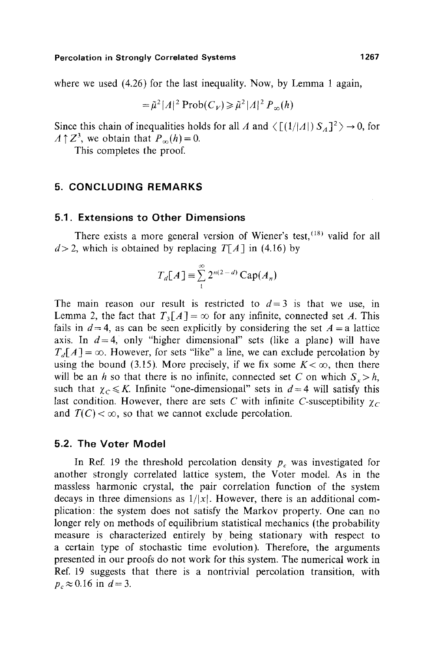where we used (4.26) for the last inequality. Now, by Lemma 1 again,

$$
= \tilde{\mu}^2 |A|^2 \operatorname{Prob}(C_V) \ge \tilde{\mu}^2 |A|^2 P_{\infty}(h)
$$

Since this chain of inequalities holds for all A and  $\langle [(1/|A|) S_A]^2 \rangle \rightarrow 0$ , for  $A \uparrow Z^3$ , we obtain that  $P_{\infty}(h)=0$ .

This completes the proof.

# **5. CONCLUDING REMARKS**

## **5.1. Extensions to Other Dimensions**

There exists a more general version of Wiener's test,  $(18)$  valid for all  $d > 2$ , which is obtained by replacing  $T[A]$  in (4.16) by

$$
T_d[A] \equiv \sum_{1}^{\infty} 2^{n(2-d)} \operatorname{Cap}(A_n)
$$

The main reason our result is restricted to  $d=3$  is that we use, in Lemma 2, the fact that  $T_3[A] = \infty$  for any infinite, connected set A. This fails in  $d = 4$ , as can be seen explicitly by considering the set  $A = a$  lattice axis. In  $d=4$ , only "higher dimensional" sets (like a plane) will have  $T<sub>d</sub>[A] = \infty$ . However, for sets "like" a line, we can exclude percolation by using the bound (3.15). More precisely, if we fix some  $K < \infty$ , then there will be an h so that there is no infinite, connected set C on which  $S_r > h$ , such that  $\chi_c \leq K$ . Infinite "one-dimensional" sets in  $d=4$  will satisfy this last condition. However, there are sets C with infinite C-susceptibility  $\gamma_c$ and  $T(C) < \infty$ , so that we cannot exclude percolation.

#### **5.2. The Voter Model**

In Ref. 19 the threshold percolation density  $p_c$  was investigated for another strongly correlated lattice system, the Voter model. As in the massless harmonic crystal, the pair correlation function of the system decays in three dimensions as  $1/|x|$ . However, there is an additional complication: the system does not satisfy the Markov property. One can no longer rely on methods of equilibrium statistical mechanics (the probability measure is characterized entirely by. being stationary with respect to a certain type of stochastic time evolution). Therefore, the arguments presented in our proofs do not work for this system. The numerical work in Ref. 19 suggests that there is a nontrivial percolation transition, with  $p_c \approx 0.16$  in  $d = 3$ .